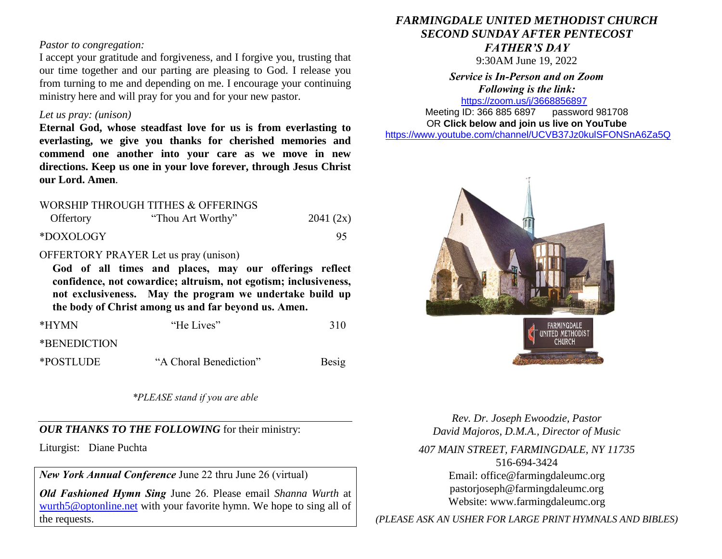#### *Pastor to congregation:*

I accept your gratitude and forgiveness, and I forgive you, trusting that our time together and our parting are pleasing to God. I release you from turning to me and depending on me. I encourage your continuing ministry here and will pray for you and for your new pastor.

#### *Let us pray: (unison)*

**Eternal God, whose steadfast love for us is from everlasting to everlasting, we give you thanks for cherished memories and commend one another into your care as we move in new directions. Keep us one in your love forever, through Jesus Christ our Lord. Amen***.*

# WORSHIP THROUGH TITHES & OFFERINGS Offertory "Thou Art Worthy" 2041 (2x) \*DOXOLOGY 95

### OFFERTORY PRAYER Let us pray (unison)

**God of all times and places, may our offerings reflect confidence, not cowardice; altruism, not egotism; inclusiveness, not exclusiveness. May the program we undertake build up the body of Christ among us and far beyond us. Amen.** 

| *HYMN        | "He Lives"             | 310   |
|--------------|------------------------|-------|
| *BENEDICTION |                        |       |
| *POSTLUDE    | "A Choral Benediction" | Besig |

*\*PLEASE stand if you are able*

#### *OUR THANKS TO THE FOLLOWING* for their ministry:

Liturgist: Diane Puchta

*New York Annual Conference* June 22 thru June 26 (virtual)

*Old Fashioned Hymn Sing* June 26. Please email *Shanna Wurth* at [wurth5@optonline.net](mailto:wurth5@optonline.net) with your favorite hymn. We hope to sing all of the requests.

## *FARMINGDALE UNITED METHODIST CHURCH SECOND SUNDAY AFTER PENTECOST FATHER'S DAY*

9:30AM June 19, 2022

*Service is In-Person and on Zoom Following is the link:* <https://zoom.us/j/3668856897>

Meeting ID: 366 885 6897 password 981708 OR **Click below and join us live on YouTube**  [https://www.youtube.com/channel/UCVB37Jz0kulSFONSnA6Za5Q](https://r20.rs6.net/tn.jsp?f=001k6RGPvPFbGGMIcfKWiNR_iQRr6wnePVJO5wPBmTGTUG-6H7Rno-Ccjzncf7RAcA2aCO1usCGiuYYhUDPog8HWc38p-B70aEHKS8a7AZ633unLlDnlsyY1rSZY7DrB1di009D1MFmnX36MQIEkLrC34ZIDpgMTMT95Xsd-rYhXX761Me0QKhAdY1E-Os86l7d&c=&ch=)



*Rev. Dr. Joseph Ewoodzie, Pastor David Majoros, D.M.A., Director of Music*

*407 MAIN STREET, FARMINGDALE, NY 11735* 516-694-3424 Email: [office@farmingdaleumc.org](mailto:office@farmingdaleumc.org) pastorjoseph@farmingdaleumc.org Website: www.farmingdaleumc.org

*(PLEASE ASK AN USHER FOR LARGE PRINT HYMNALS AND BIBLES)*